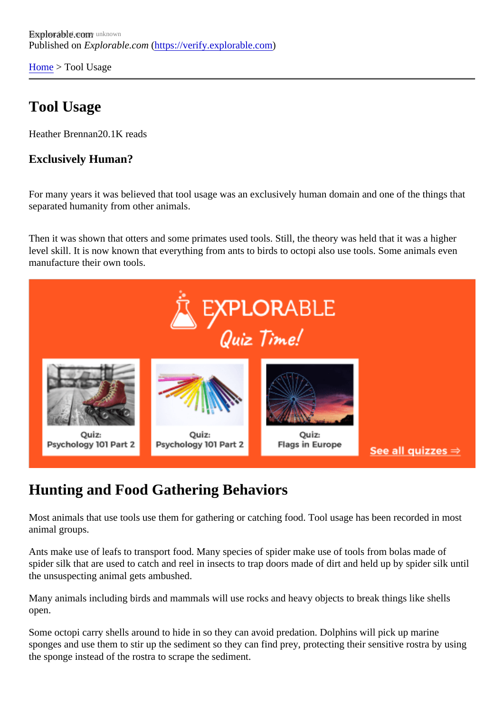[Home](https://verify.explorable.com/) > Tool Usage

## Tool Usage

Heather Brennan<sub>20</sub>.1K reads

Exclusively Human?

For many years it was believed that tool usage was an exclusively human domain and one of the things th separated humanity from other animals.

Then it was shown that otters and some primates used tools. Still, the theory was held that it was a higher level skill. It is now known that everything from ants to birds to octopi also use tools. Some animals even manufacture their own tools.

# Hunting and Food Gathering Behaviors

Most animals that use tools use them for gathering or catching food. Tool usage has been recorded in most animal groups.

Ants make use of leafs to transport food. Many species of spider make use of tools from bolas made of spider silk that are used to catch and reel in insects to trap doors made of dirt and held up by spider silk un the unsuspecting animal gets ambushed.

Many animals including birds and mammals will use rocks and heavy objects to break things like shells open.

Some octopi carry shells around to hide in so they can avoid predation. Dolphins will pick up marine sponges and use them to stir up the sediment so they can find prey, protecting their sensitive rostra by using the sponge instead of the rostra to scrape the sediment.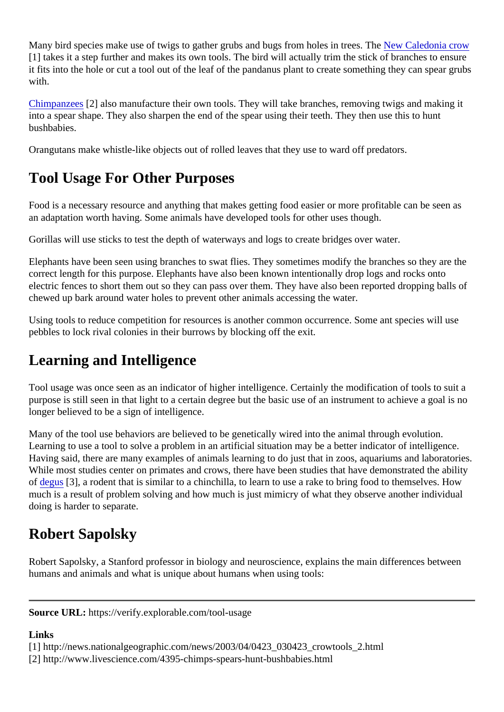Many bird species make use of twigs to gather grubs and bugs from holes in trelles and Deledonia crow [1] takes it a step further and makes its own tools. The bird will actually trim the stick of branches to ensure it fits into the hole or cut a tool out of the leaf of the pandanus plant to create something they can spear gr with.

[Chimpanzee](http://www.livescience.com/4395-chimps-spears-hunt-bushbabies.html)<sup>[2]</sup> also manufacture their own tools. They will take branches, removing twigs and making it into a spear shape. They also sharpen the end of the spear using their teeth. They then use this to hunt bushbabies.

Orangutans make whistle-like objects out of rolled leaves that they use to ward off predators.

# Tool Usage For Other Purposes

Food is a necessary resource and anything that makes getting food easier or more profitable can be seen an adaptation worth having. Some animals have developed tools for other uses though.

Gorillas will use sticks to test the depth of waterways and logs to create bridges over water.

Elephants have been seen using branches to swat flies. They sometimes modify the branches so they are correct length for this purpose. Elephants have also been known intentionally drop logs and rocks onto electric fences to short them out so they can pass over them. They have also been reported dropping balls chewed up bark around water holes to prevent other animals accessing the water.

Using tools to reduce competition for resources is another common occurrence. Some ant species will use pebbles to lock rival colonies in their burrows by blocking off the exit.

## Learning and Intelligence

Tool usage was once seen as an indicator of higher intelligence. Certainly the modification of tools to suit purpose is still seen in that light to a certain degree but the basic use of an instrument to achieve a goal is longer believed to be a sign of intelligence.

Many of the tool use behaviors are believed to be genetically wired into the animal through evolution. Learning to use a tool to solve a problem in an artificial situation may be a better indicator of intelligence. Having said, there are many examples of animals learning to do just that in zoos, aquariums and laborator While most studies center on primates and crows, there have been studies that have demonstrated the ability of [degus](http://www.livescience.com/2408-small-rodents-taught-tools.html)[3], a rodent that is similar to a chinchilla, to learn to use a rake to bring food to themselves. How much is a result of problem solving and how much is just mimicry of what they observe another individual doing is harder to separate.

## Robert Sapolsky

Robert Sapolsky, a Stanford professor in biology and neuroscience, explains the main differences betwee humans and animals and what is unique about humans when using tools:

Source URL: https://verify.explorable.com/tool-usage

Links

[1] http://news.nationalgeographic.com/news/2003/04/0423\_030423\_crowtools\_2.html

[2] http://www.livescience.com/4395-chimps-spears-hunt-bushbabies.html